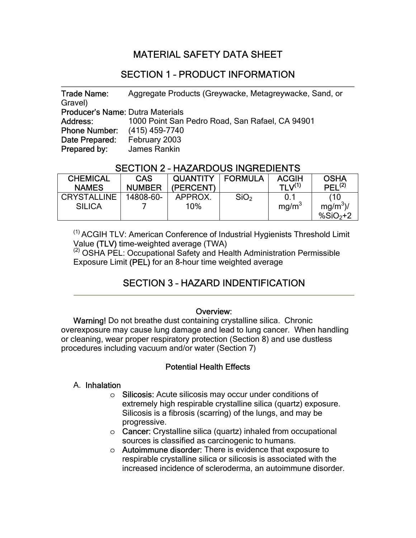## MATERIAL SAFETY DATA SHEET

#### SECTION 1 – PRODUCT INFORMATION

 Trade Name: Aggregate Products (Greywacke, Metagreywacke, Sand, or Gravel) Producer's Name: Dutra Materials Address: 1000 Point San Pedro Road, San Rafael, CA 94901 Phone Number: (415) 459-7740 Date Prepared: February 2003 Prepared by: James Rankin

#### SECTION 2 – HAZARDOUS INGREDIENTS

| <b>CHEMICAL</b><br><b>NAMES</b> | <b>CAS</b><br><b>NUMBER</b> | <b>QUANTITY</b><br>(PERCENT) | <b>FORMULA</b>   | <b>ACGIH</b><br>TI $V^{(1)}$ | <b>OSHA</b><br>PEL <sup>(2)</sup> |
|---------------------------------|-----------------------------|------------------------------|------------------|------------------------------|-----------------------------------|
| <b>CRYSTALLINE</b>              | 14808-60-                   | APPROX.                      | SiO <sub>2</sub> | 0.1                          | (10                               |
| <b>SILICA</b>                   |                             | $10\%$                       |                  | mq/m <sup>3</sup>            | $mq/m^3$ )/<br>$%SiO2+2$          |

(1) ACGIH TLV: American Conference of Industrial Hygienists Threshold Limit Value (TLV) time-weighted average (TWA)<br><sup>(2)</sup> OSHA PEL: Occupational Safety and Health Administration Permissible

Exposure Limit (PEL) for an 8-hour time weighted average

# SECTION 3 – HAZARD INDENTIFICATION

#### Overview:

Warning! Do not breathe dust containing crystalline silica. Chronic overexposure may cause lung damage and lead to lung cancer. When handling or cleaning, wear proper respiratory protection (Section 8) and use dustless procedures including vacuum and/or water (Section 7)

#### Potential Health Effects

#### A. Inhalation

- o Silicosis: Acute silicosis may occur under conditions of extremely high respirable crystalline silica (quartz) exposure. Silicosis is a fibrosis (scarring) of the lungs, and may be progressive.
- o Cancer: Crystalline silica (quartz) inhaled from occupational sources is classified as carcinogenic to humans.
- o Autoimmune disorder: There is evidence that exposure to respirable crystalline silica or silicosis is associated with the increased incidence of scleroderma, an autoimmune disorder.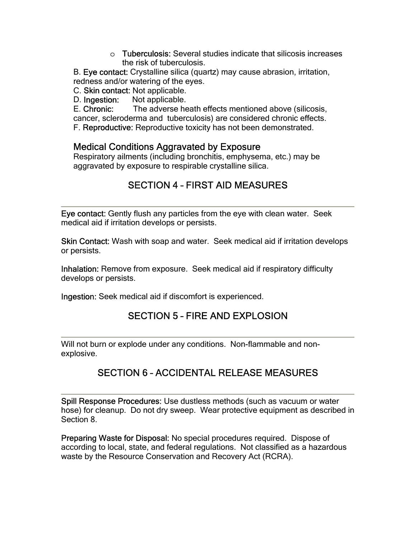o Tuberculosis: Several studies indicate that silicosis increases the risk of tuberculosis.

B. Eye contact: Crystalline silica (quartz) may cause abrasion, irritation, redness and/or watering of the eyes.

C. Skin contact: Not applicable.

D. Ingestion: Not applicable.

E. Chronic: The adverse heath effects mentioned above (silicosis, cancer, scleroderma and tuberculosis) are considered chronic effects.

F. Reproductive: Reproductive toxicity has not been demonstrated.

#### Medical Conditions Aggravated by Exposure

Respiratory ailments (including bronchitis, emphysema, etc.) may be aggravated by exposure to respirable crystalline silica.

## SECTION 4 – FIRST AID MEASURES

Eye contact: Gently flush any particles from the eye with clean water. Seek medical aid if irritation develops or persists.

Skin Contact: Wash with soap and water. Seek medical aid if irritation develops or persists.

Inhalation: Remove from exposure. Seek medical aid if respiratory difficulty develops or persists.

Ingestion: Seek medical aid if discomfort is experienced.

# SECTION 5 – FIRE AND EXPLOSION

Will not burn or explode under any conditions. Non-flammable and nonexplosive.

# SECTION 6 – ACCIDENTAL RELEASE MEASURES

Spill Response Procedures: Use dustless methods (such as vacuum or water hose) for cleanup. Do not dry sweep. Wear protective equipment as described in Section 8.

Preparing Waste for Disposal: No special procedures required. Dispose of according to local, state, and federal regulations. Not classified as a hazardous waste by the Resource Conservation and Recovery Act (RCRA).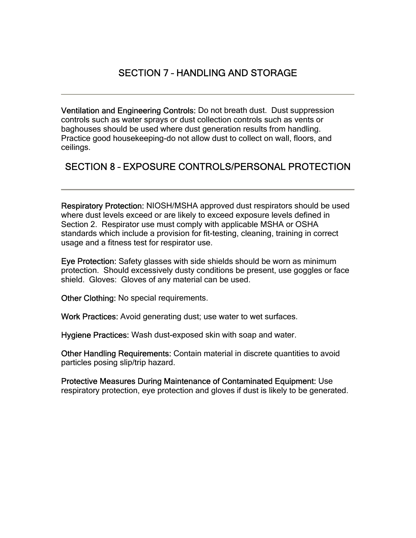#### SECTION 7 – HANDLING AND STORAGE

Ventilation and Engineering Controls: Do not breath dust. Dust suppression controls such as water sprays or dust collection controls such as vents or baghouses should be used where dust generation results from handling. Practice good housekeeping-do not allow dust to collect on wall, floors, and ceilings.

#### SECTION 8 – EXPOSURE CONTROLS/PERSONAL PROTECTION

Respiratory Protection: NIOSH/MSHA approved dust respirators should be used where dust levels exceed or are likely to exceed exposure levels defined in Section 2. Respirator use must comply with applicable MSHA or OSHA standards which include a provision for fit-testing, cleaning, training in correct usage and a fitness test for respirator use.

Eye Protection: Safety glasses with side shields should be worn as minimum protection. Should excessively dusty conditions be present, use goggles or face shield. Gloves: Gloves of any material can be used.

Other Clothing: No special requirements.

Work Practices: Avoid generating dust; use water to wet surfaces.

Hygiene Practices: Wash dust-exposed skin with soap and water.

Other Handling Requirements: Contain material in discrete quantities to avoid particles posing slip/trip hazard.

Protective Measures During Maintenance of Contaminated Equipment: Use respiratory protection, eye protection and gloves if dust is likely to be generated.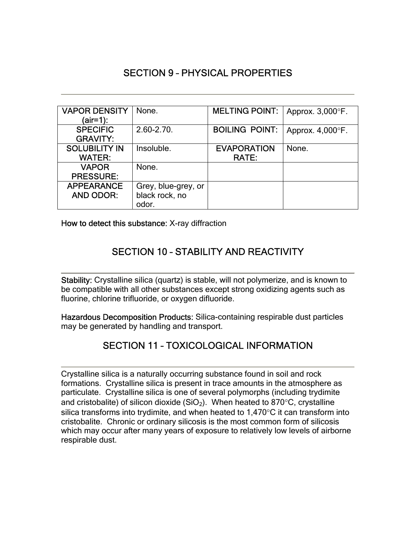## SECTION 9 – PHYSICAL PROPERTIES

| <b>VAPOR DENSITY</b> | None.               | <b>MELTING POINT:</b> | Approx. 3,000°F.    |
|----------------------|---------------------|-----------------------|---------------------|
| (air=1):             |                     |                       |                     |
| <b>SPECIFIC</b>      | $2.60 - 2.70$ .     | <b>BOILING POINT:</b> | Approx. $4,000$ °F. |
| <b>GRAVITY:</b>      |                     |                       |                     |
| <b>SOLUBILITY IN</b> | Insoluble.          | <b>EVAPORATION</b>    | None.               |
| <b>WATER:</b>        |                     | RATE:                 |                     |
| <b>VAPOR</b>         | None.               |                       |                     |
| <b>PRESSURE:</b>     |                     |                       |                     |
| <b>APPEARANCE</b>    | Grey, blue-grey, or |                       |                     |
| <b>AND ODOR:</b>     | black rock, no      |                       |                     |
|                      | odor.               |                       |                     |

How to detect this substance: X-ray diffraction

# SECTION 10 – STABILITY AND REACTIVITY

Stability: Crystalline silica (quartz) is stable, will not polymerize, and is known to be compatible with all other substances except strong oxidizing agents such as fluorine, chlorine trifluoride, or oxygen difluoride.

Hazardous Decomposition Products: Silica-containing respirable dust particles may be generated by handling and transport.

#### SECTION 11 – TOXICOLOGICAL INFORMATION

 Crystalline silica is a naturally occurring substance found in soil and rock formations. Crystalline silica is present in trace amounts in the atmosphere as particulate. Crystalline silica is one of several polymorphs (including trydimite and cristobalite) of silicon dioxide (SiO<sub>2</sub>). When heated to 870 $\degree$ C, crystalline silica transforms into trydimite, and when heated to 1,470°C it can transform into cristobalite. Chronic or ordinary silicosis is the most common form of silicosis which may occur after many years of exposure to relatively low levels of airborne respirable dust.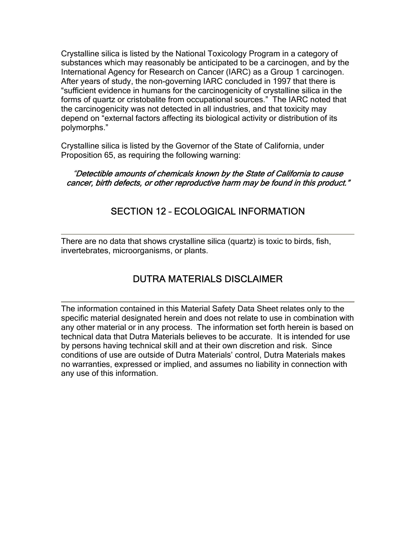Crystalline silica is listed by the National Toxicology Program in a category of substances which may reasonably be anticipated to be a carcinogen, and by the International Agency for Research on Cancer (IARC) as a Group 1 carcinogen. After years of study, the non-governing IARC concluded in 1997 that there is "sufficient evidence in humans for the carcinogenicity of crystalline silica in the forms of quartz or cristobalite from occupational sources." The IARC noted that the carcinogenicity was not detected in all industries, and that toxicity may depend on "external factors affecting its biological activity or distribution of its polymorphs."

Crystalline silica is listed by the Governor of the State of California, under Proposition 65, as requiring the following warning:

"Detectible amounts of chemicals known by the State of California to cause cancer, birth defects, or other reproductive harm may be found in this product."

#### SECTION 12 – ECOLOGICAL INFORMATION

There are no data that shows crystalline silica (quartz) is toxic to birds, fish, invertebrates, microorganisms, or plants.

#### DUTRA MATERIALS DISCLAIMER

The information contained in this Material Safety Data Sheet relates only to the specific material designated herein and does not relate to use in combination with any other material or in any process. The information set forth herein is based on technical data that Dutra Materials believes to be accurate. It is intended for use by persons having technical skill and at their own discretion and risk. Since conditions of use are outside of Dutra Materials' control, Dutra Materials makes no warranties, expressed or implied, and assumes no liability in connection with any use of this information.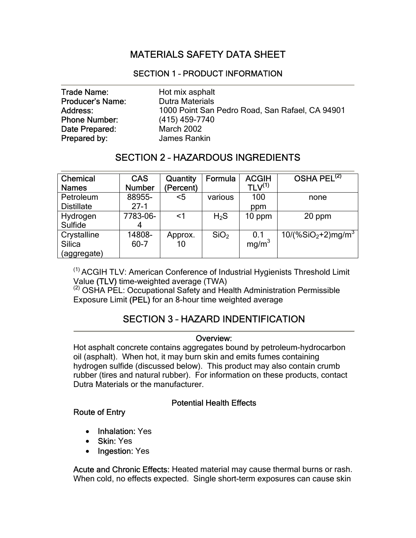## MATERIALS SAFETY DATA SHEET

#### SECTION 1 – PRODUCT INFORMATION

| <b>Trade Name:</b>      | Hot mix asphalt                                 |
|-------------------------|-------------------------------------------------|
| <b>Producer's Name:</b> | <b>Dutra Materials</b>                          |
| Address:                | 1000 Point San Pedro Road, San Rafael, CA 94901 |
| <b>Phone Number:</b>    | (415) 459-7740                                  |
| Date Prepared:          | <b>March 2002</b>                               |
| Prepared by:            | James Rankin                                    |

#### SECTION 2 – HAZARDOUS INGREDIENTS

| <b>Chemical</b><br><b>Names</b>      | <b>CAS</b><br><b>Number</b> | <b>Quantity</b><br>(Percent) | Formula          | <b>ACGIH</b><br>TLV <sup>(1)</sup> | OSHA PEL <sup>(2)</sup> |
|--------------------------------------|-----------------------------|------------------------------|------------------|------------------------------------|-------------------------|
| Petroleum                            | 88955-                      | <5                           | various          | 100                                | none                    |
| <b>Distillate</b>                    | $27-1$                      |                              |                  | ppm                                |                         |
| Hydrogen<br>Sulfide                  | 7783-06-<br>4               | $<$ 1                        | $H_2S$           | 10 ppm                             | 20 ppm                  |
| Crystalline<br>Silica<br>(aggregate) | 14808-<br>$60 - 7$          | Approx.<br>10                | SiO <sub>2</sub> | 0.1<br>mg/m <sup>3</sup>           | $10/(%SiO2+2)mg/m3$     |

(1) ACGIH TLV: American Conference of Industrial Hygienists Threshold Limit

Value (TLV) time-weighted average (TWA)<br><sup>(2)</sup> OSHA PEL: Occupational Safety and Health Administration Permissible Exposure Limit (PEL) for an 8-hour time weighted average

# SECTION 3 – HAZARD INDENTIFICATION

# Overview:

Hot asphalt concrete contains aggregates bound by petroleum-hydrocarbon oil (asphalt). When hot, it may burn skin and emits fumes containing hydrogen sulfide (discussed below). This product may also contain crumb rubber (tires and natural rubber). For information on these products, contact Dutra Materials or the manufacturer.

#### Potential Health Effects

#### Route of Entry

- Inhalation: Yes
- Skin: Yes
- Ingestion: Yes

Acute and Chronic Effects: Heated material may cause thermal burns or rash. When cold, no effects expected. Single short-term exposures can cause skin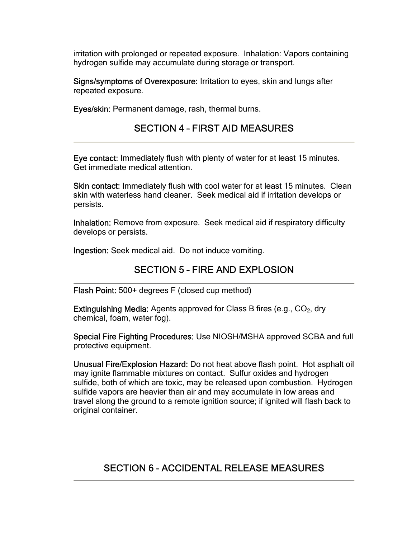irritation with prolonged or repeated exposure. Inhalation: Vapors containing hydrogen sulfide may accumulate during storage or transport.

Signs/symptoms of Overexposure: Irritation to eyes, skin and lungs after repeated exposure.

Eyes/skin: Permanent damage, rash, thermal burns.

#### SECTION 4 – FIRST AID MEASURES

Eye contact: Immediately flush with plenty of water for at least 15 minutes. Get immediate medical attention.

Skin contact: Immediately flush with cool water for at least 15 minutes. Clean skin with waterless hand cleaner. Seek medical aid if irritation develops or persists.

Inhalation: Remove from exposure. Seek medical aid if respiratory difficulty develops or persists.

Ingestion: Seek medical aid. Do not induce vomiting.

#### SECTION 5 – FIRE AND EXPLOSION

Flash Point: 500+ degrees F (closed cup method)

**Extinguishing Media:** Agents approved for Class B fires (e.g.,  $CO<sub>2</sub>$ , dry chemical, foam, water fog).

Special Fire Fighting Procedures: Use NIOSH/MSHA approved SCBA and full protective equipment.

Unusual Fire/Explosion Hazard: Do not heat above flash point. Hot asphalt oil may ignite flammable mixtures on contact. Sulfur oxides and hydrogen sulfide, both of which are toxic, may be released upon combustion. Hydrogen sulfide vapors are heavier than air and may accumulate in low areas and travel along the ground to a remote ignition source; if ignited will flash back to original container.

# SECTION 6 – ACCIDENTAL RELEASE MEASURES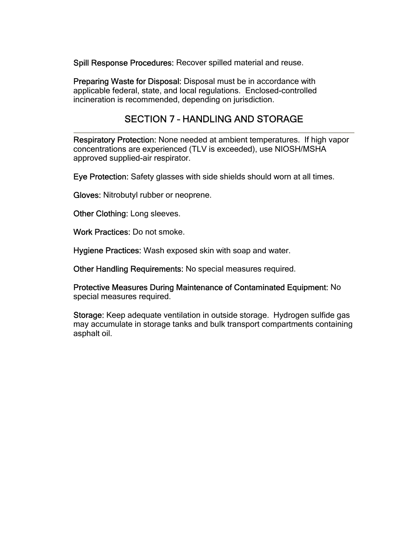Spill Response Procedures: Recover spilled material and reuse.

Preparing Waste for Disposal: Disposal must be in accordance with applicable federal, state, and local regulations. Enclosed-controlled incineration is recommended, depending on jurisdiction.

#### SECTION 7 – HANDLING AND STORAGE

 Respiratory Protection: None needed at ambient temperatures. If high vapor concentrations are experienced (TLV is exceeded), use NIOSH/MSHA approved supplied-air respirator.

Eye Protection: Safety glasses with side shields should worn at all times.

Gloves: Nitrobutyl rubber or neoprene.

Other Clothing: Long sleeves.

Work Practices: Do not smoke.

Hygiene Practices: Wash exposed skin with soap and water.

Other Handling Requirements: No special measures required.

Protective Measures During Maintenance of Contaminated Equipment: No special measures required.

Storage: Keep adequate ventilation in outside storage. Hydrogen sulfide gas may accumulate in storage tanks and bulk transport compartments containing asphalt oil.